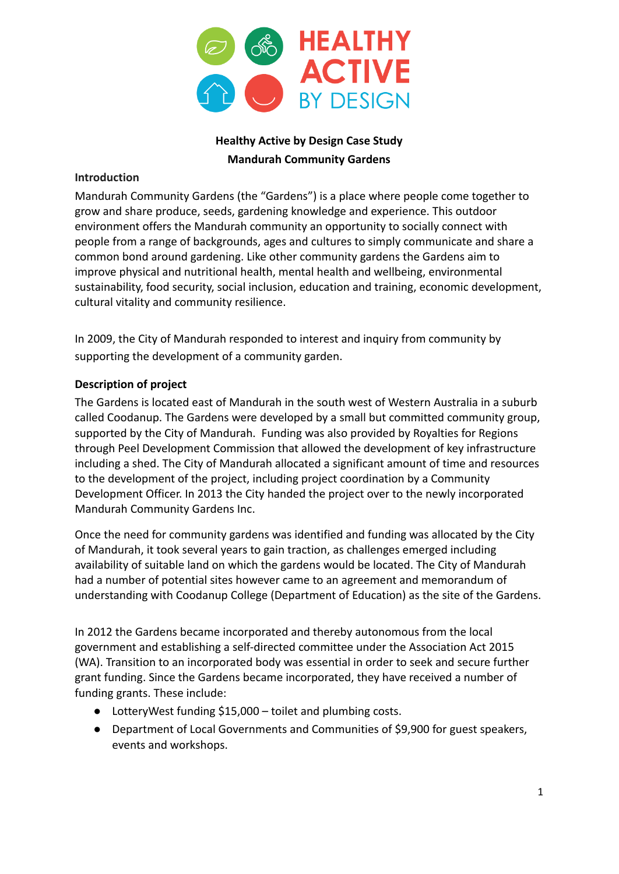

# **Healthy Active by Design Case Study Mandurah Community Gardens**

### **Introduction**

Mandurah Community Gardens (the "Gardens") is a place where people come together to grow and share produce, seeds, gardening knowledge and experience. This outdoor environment offers the Mandurah community an opportunity to socially connect with people from a range of backgrounds, ages and cultures to simply communicate and share a common bond around gardening. Like other community gardens the Gardens aim to improve physical and nutritional health, mental health and wellbeing, environmental sustainability, food security, social inclusion, education and training, economic development, cultural vitality and community resilience.

In 2009, the City of Mandurah responded to interest and inquiry from community by supporting the development of a community garden.

## **Description of project**

The Gardens is located east of Mandurah in the south west of Western Australia in a suburb called Coodanup. The Gardens were developed by a small but committed community group, supported by the City of Mandurah. Funding was also provided by Royalties for Regions through Peel Development Commission that allowed the development of key infrastructure including a shed. The City of Mandurah allocated a significant amount of time and resources to the development of the project, including project coordination by a Community Development Officer. In 2013 the City handed the project over to the newly incorporated Mandurah Community Gardens Inc.

Once the need for community gardens was identified and funding was allocated by the City of Mandurah, it took several years to gain traction, as challenges emerged including availability of suitable land on which the gardens would be located. The City of Mandurah had a number of potential sites however came to an agreement and memorandum of understanding with Coodanup College (Department of Education) as the site of the Gardens.

In 2012 the Gardens became incorporated and thereby autonomous from the local government and establishing a self-directed committee under the Association Act 2015 (WA). Transition to an incorporated body was essential in order to seek and secure further grant funding. Since the Gardens became incorporated, they have received a number of funding grants. These include:

- LotteryWest funding \$15,000 toilet and plumbing costs.
- Department of Local Governments and Communities of \$9,900 for guest speakers, events and workshops.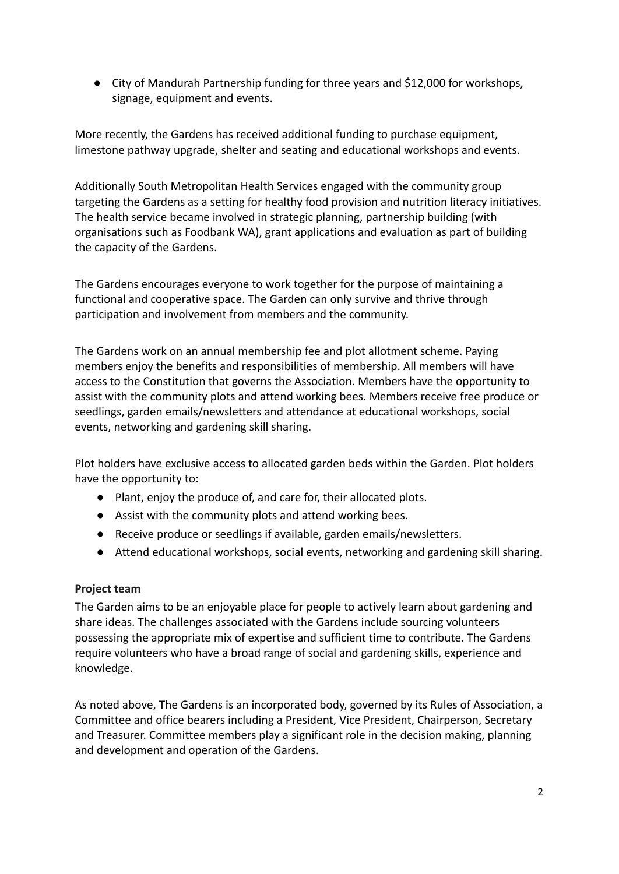● City of Mandurah Partnership funding for three years and \$12,000 for workshops, signage, equipment and events.

More recently, the Gardens has received additional funding to purchase equipment, limestone pathway upgrade, shelter and seating and educational workshops and events.

Additionally South Metropolitan Health Services engaged with the community group targeting the Gardens as a setting for healthy food provision and nutrition literacy initiatives. The health service became involved in strategic planning, partnership building (with organisations such as Foodbank WA), grant applications and evaluation as part of building the capacity of the Gardens.

The Gardens encourages everyone to work together for the purpose of maintaining a functional and cooperative space. The Garden can only survive and thrive through participation and involvement from members and the community.

The Gardens work on an annual membership fee and plot allotment scheme. Paying members enjoy the benefits and responsibilities of membership. All members will have access to the Constitution that governs the Association. Members have the opportunity to assist with the community plots and attend working bees. Members receive free produce or seedlings, garden emails/newsletters and attendance at educational workshops, social events, networking and gardening skill sharing.

Plot holders have exclusive access to allocated garden beds within the Garden. Plot holders have the opportunity to:

- Plant, enjoy the produce of, and care for, their allocated plots.
- Assist with the community plots and attend working bees.
- Receive produce or seedlings if available, garden emails/newsletters.
- Attend educational workshops, social events, networking and gardening skill sharing.

## **Project team**

The Garden aims to be an enjoyable place for people to actively learn about gardening and share ideas. The challenges associated with the Gardens include sourcing volunteers possessing the appropriate mix of expertise and sufficient time to contribute. The Gardens require volunteers who have a broad range of social and gardening skills, experience and knowledge.

As noted above, The Gardens is an incorporated body, governed by its Rules of Association, a Committee and office bearers including a President, Vice President, Chairperson, Secretary and Treasurer. Committee members play a significant role in the decision making, planning and development and operation of the Gardens.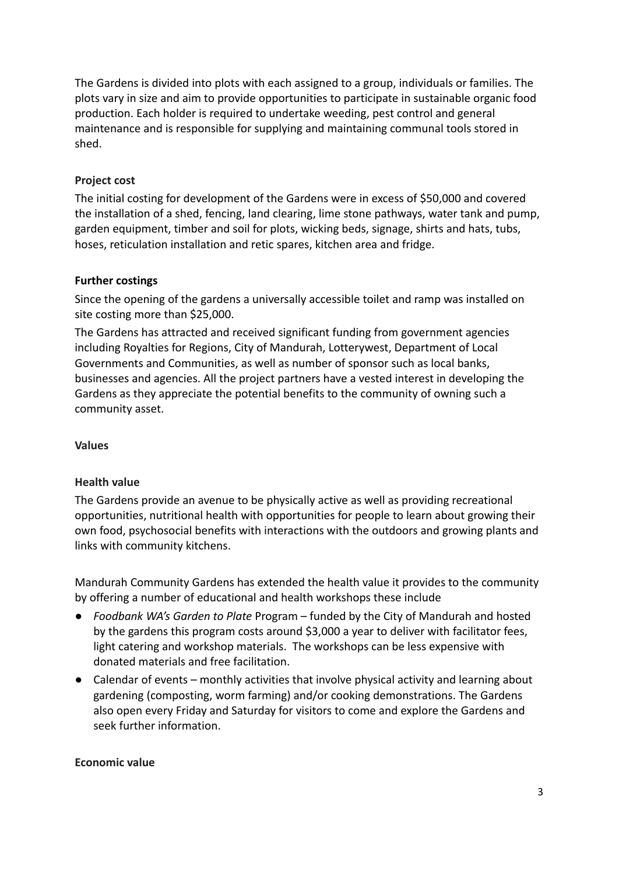The Gardens is divided into plots with each assigned to a group, individuals or families. The plots vary in size and aim to provide opportunities to participate in sustainable organic food production. Each holder is required to undertake weeding, pest control and general maintenance and is responsible for supplying and maintaining communal tools stored in shed.

### **Project cost**

The initial costing for development of the Gardens were in excess of \$50,000 and covered the installation of a shed, fencing, land clearing, lime stone pathways, water tank and pump, garden equipment, timber and soil for plots, wicking beds, signage, shirts and hats, tubs, hoses, reticulation installation and retic spares, kitchen area and fridge.

### **Further costings**

Since the opening of the gardens a universally accessible toilet and ramp was installed on site costing more than \$25,000.

The Gardens has attracted and received significant funding from government agencies including Royalties for Regions, City of Mandurah, Lotterywest, Department of Local Governments and Communities, as well as number of sponsor such as local banks, businesses and agencies. All the project partners have a vested interest in developing the Gardens as they appreciate the potential benefits to the community of owning such a community asset.

### **Values**

### **Health value**

The Gardens provide an avenue to be physically active as well as providing recreational opportunities, nutritional health with opportunities for people to learn about growing their own food, psychosocial benefits with interactions with the outdoors and growing plants and links with community kitchens.

Mandurah Community Gardens has extended the health value it provides to the community by offering a number of educational and health workshops these include

- *Foodbank WA's Garden to Plate* Program funded by the City of Mandurah and hosted by the gardens this program costs around \$3,000 a year to deliver with facilitator fees, light catering and workshop materials. The workshops can be less expensive with donated materials and free facilitation.
- Calendar of events monthly activities that involve physical activity and learning about gardening (composting, worm farming) and/or cooking demonstrations. The Gardens also open every Friday and Saturday for visitors to come and explore the Gardens and seek further information.

### **Economic value**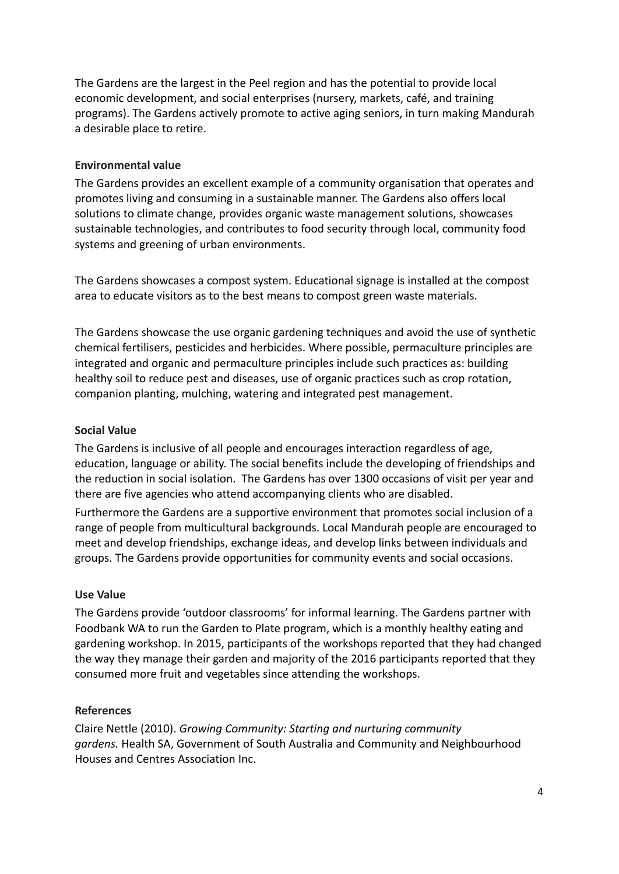The Gardens are the largest in the Peel region and has the potential to provide local economic development, and social enterprises (nursery, markets, café, and training programs). The Gardens actively promote to active aging seniors, in turn making Mandurah a desirable place to retire.

### **Environmental value**

The Gardens provides an excellent example of a community organisation that operates and promotes living and consuming in a sustainable manner. The Gardens also offers local solutions to climate change, provides organic waste management solutions, showcases sustainable technologies, and contributes to food security through local, community food systems and greening of urban environments.

The Gardens showcases a compost system. Educational signage is installed at the compost area to educate visitors as to the best means to compost green waste materials.

The Gardens showcase the use organic gardening techniques and avoid the use of synthetic chemical fertilisers, pesticides and herbicides. Where possible, permaculture principles are integrated and organic and permaculture principles include such practices as: building healthy soil to reduce pest and diseases, use of organic practices such as crop rotation, companion planting, mulching, watering and integrated pest management.

#### **Social Value**

The Gardens is inclusive of all people and encourages interaction regardless of age, education, language or ability. The social benefits include the developing of friendships and the reduction in social isolation. The Gardens has over 1300 occasions of visit per year and there are five agencies who attend accompanying clients who are disabled.

Furthermore the Gardens are a supportive environment that promotes social inclusion of a range of people from multicultural backgrounds. Local Mandurah people are encouraged to meet and develop friendships, exchange ideas, and develop links between individuals and groups. The Gardens provide opportunities for community events and social occasions.

#### **Use Value**

The Gardens provide 'outdoor classrooms' for informal learning. The Gardens partner with Foodbank WA to run the Garden to Plate program, which is a monthly healthy eating and gardening workshop. In 2015, participants of the workshops reported that they had changed the way they manage their garden and majority of the 2016 participants reported that they consumed more fruit and vegetables since attending the workshops.

#### **References**

Claire Nettle (2010). *Growing Community: Starting and nurturing community gardens.* Health SA, Government of South Australia and Community and Neighbourhood Houses and Centres Association Inc.